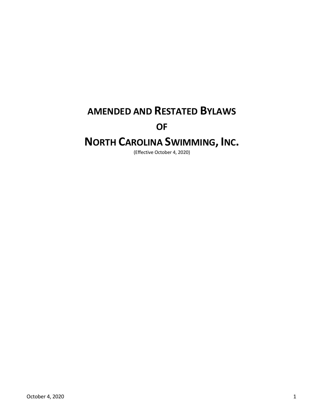## **AMENDED AND RESTATED BYLAWS**

### **OF**

# **NORTH CAROLINA SWIMMING, INC.**

(Effective October 4, 2020)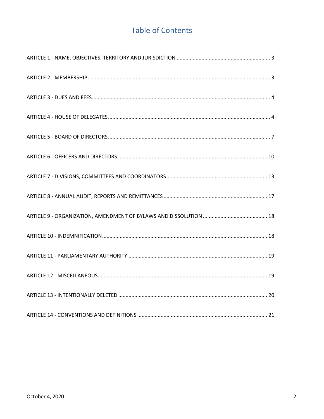## **Table of Contents**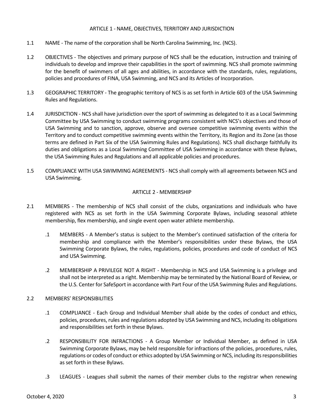#### <span id="page-2-0"></span>ARTICLE 1 - NAME, OBJECTIVES, TERRITORY AND JURISDICTION

- 1.1 NAME The name of the corporation shall be North Carolina Swimming, Inc. (NCS).
- 1.2 OBJECTIVES The objectives and primary purpose of NCS shall be the education, instruction and training of individuals to develop and improve their capabilities in the sport of swimming. NCS shall promote swimming for the benefit of swimmers of all ages and abilities, in accordance with the standards, rules, regulations, policies and procedures of FINA, USA Swimming, and NCS and its Articles of Incorporation.
- 1.3 GEOGRAPHIC TERRITORY The geographic territory of NCS is as set forth in Article 603 of the USA Swimming Rules and Regulations.
- 1.4 JURISDICTION NCS shall have jurisdiction over the sport of swimming as delegated to it as a Local Swimming Committee by USA Swimming to conduct swimming programs consistent with NCS's objectives and those of USA Swimming and to sanction, approve, observe and oversee competitive swimming events within the Territory and to conduct competitive swimming events within the Territory, its Region and its Zone (as those terms are defined in Part Six of the USA Swimming Rules and Regulations). NCS shall discharge faithfully its duties and obligations as a Local Swimming Committee of USA Swimming in accordance with these Bylaws, the USA Swimming Rules and Regulations and all applicable policies and procedures.
- 1.5 COMPLIANCE WITH USA SWIMMING AGREEMENTS NCS shall comply with all agreements between NCS and USA Swimming.

#### <span id="page-2-1"></span>ARTICLE 2 - MEMBERSHIP

- 2.1 MEMBERS The membership of NCS shall consist of the clubs, organizations and individuals who have registered with NCS as set forth in the USA Swimming Corporate Bylaws, including seasonal athlete membership, flex membership, and single event open water athlete membership.
	- .1 MEMBERS A Member's status is subject to the Member's continued satisfaction of the criteria for membership and compliance with the Member's responsibilities under these Bylaws, the USA Swimming Corporate Bylaws, the rules, regulations, policies, procedures and code of conduct of NCS and USA Swimming.
	- .2 MEMBERSHIP A PRIVILEGE NOT A RIGHT Membership in NCS and USA Swimming is a privilege and shall not be interpreted as a right. Membership may be terminated by the National Board of Review, or the U.S. Center for SafeSport in accordance with Part Four of the USA Swimming Rules and Regulations.

#### 2.2 MEMBERS' RESPONSIBILITIES

- .1 COMPLIANCE Each Group and Individual Member shall abide by the codes of conduct and ethics, policies, procedures, rules and regulations adopted by USA Swimming and NCS, including its obligations and responsibilities set forth in these Bylaws.
- .2 RESPONSIBILITY FOR INFRACTIONS A Group Member or Individual Member, as defined in USA Swimming Corporate Bylaws, may be held responsible for infractions of the policies, procedures, rules, regulations or codes of conduct or ethics adopted by USA Swimming or NCS, including its responsibilities as set forth in these Bylaws.
- .3 LEAGUES Leagues shall submit the names of their member clubs to the registrar when renewing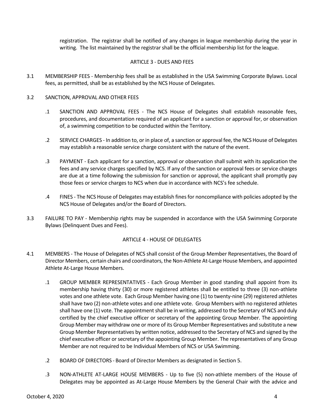registration. The registrar shall be notified of any changes in league membership during the year in writing. The list maintained by the registrar shall be the official membership list for the league.

#### <span id="page-3-0"></span>ARTICLE 3 - DUES AND FEES

3.1 MEMBERSHIP FEES - Membership fees shall be as established in the USA Swimming Corporate Bylaws. Local fees, as permitted, shall be as established by the NCS House of Delegates.

#### 3.2 SANCTION, APPROVAL AND OTHER FEES

- .1 SANCTION AND APPROVAL FEES The NCS House of Delegates shall establish reasonable fees, procedures, and documentation required of an applicant for a sanction or approval for, or observation of, a swimming competition to be conducted within the Territory.
- .2 SERVICE CHARGES In addition to, or in place of, a sanction or approval fee, the NCS House of Delegates may establish a reasonable service charge consistent with the nature of the event.
- .3 PAYMENT Each applicant for a sanction, approval or observation shall submit with its application the fees and any service charges specified by NCS. If any of the sanction or approval fees or service charges are due at a time following the submission for sanction or approval, the applicant shall promptly pay those fees or service charges to NCS when due in accordance with NCS's fee schedule.
- .4 FINES The NCS House of Delegates may establish fines for noncompliance with policies adopted by the NCS House of Delegates and/or the Board of Directors.
- 3.3 FAILURE TO PAY Membership rights may be suspended in accordance with the USA Swimming Corporate Bylaws (Delinquent Dues and Fees).

#### <span id="page-3-1"></span>ARTICLE 4 - HOUSE OF DELEGATES

- 4.1 MEMBERS The House of Delegates of NCS shall consist of the Group Member Representatives, the Board of Director Members, certain chairs and coordinators, the Non-Athlete At-Large House Members, and appointed Athlete At-Large House Members.
	- .1 GROUP MEMBER REPRESENTATIVES Each Group Member in good standing shall appoint from its membership having thirty (30) or more registered athletes shall be entitled to three (3) non-athlete votes and one athlete vote. Each Group Member having one (1) to twenty-nine (29) registered athletes shall have two (2) non-athlete votes and one athlete vote. Group Members with no registered athletes shall have one (1) vote. The appointment shall be in writing, addressed to the Secretary of NCS and duly certified by the chief executive officer or secretary of the appointing Group Member. The appointing Group Member may withdraw one or more of its Group Member Representatives and substitute a new Group Member Representatives by written notice, addressed to the Secretary of NCS and signed by the chief executive officer or secretary of the appointing Group Member. The representatives of any Group Member are not required to be Individual Members of NCS or USA Swimming.
	- .2 BOARD OF DIRECTORS Board of Director Members as designated in Section 5.
	- .3 NON-ATHLETE AT-LARGE HOUSE MEMBERS Up to five (5) non-athlete members of the House of Delegates may be appointed as At-Large House Members by the General Chair with the advice and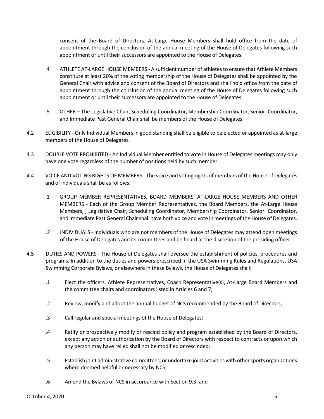consent of the Board of Directors. At-Large House Members shall hold office from the date of appointment through the conclusion of the annual meeting of the House of Delegates following such appointment or until their successors are appointed to the House of Delegates.

- .4 ATHLETE AT-LARGE HOUSE MEMBERS A sufficient number of athletes to ensure that Athlete Members constitute at least 20% of the voting membership of the House of Delegates shall be appointed by the General Chair with advice and consent of the Board of Directors and shall hold office from the date of appointment through the conclusion of the annual meeting of the House of Delegates following such appointment or until their successors are appointed to the House of Delegates.
- .5 OTHER The Legislative Chair, Scheduling Coordinator, Membership Coordinator, Senior Coordinator, and Immediate Past General Chair shall be members of the House of Delegates.
- 4.2 ELIGIBILITY Only Individual Members in good standing shall be eligible to be elected or appointed as at-large members of the House of Delegates.
- 4.3 DOUBLE VOTE PROHIBITED An Individual Member entitled to vote in House of Delegates meetings may only have one vote regardless of the number of positions held by such member.
- 4.4 VOICE AND VOTING RIGHTS OF MEMBERS The voice and voting rights of members of the House of Delegates and of individuals shall be as follows:
	- .1 GROUP MEMBER REPRESENTATIVES, BOARD MEMBERS, AT-LARGE HOUSE MEMBERS AND OTHER MEMBERS - Each of the Group Member Representatives, the Board Members, the At-Large House Members, , Legislative Chair, Scheduling Coordinator, Membership Coordinator, Senior Coordinator, and Immediate Past General Chair shall have both voice and vote in meetings of the House of Delegates.
	- .2 INDIVIDUALS Individuals who are not members of the House of Delegates may attend open meetings of the House of Delegates and its committees and be heard at the discretion of the presiding officer.
- 4.5 DUTIES AND POWERS The House of Delegates shall oversee the establishment of policies, procedures and programs. In addition to the duties and powers prescribed in the USA Swimming Rules and Regulations, USA Swimming Corporate Bylaws, or elsewhere in these Bylaws, the House of Delegates shall:
	- .1 Elect the officers, Athlete Representatives, Coach Representative(s), At-Large Board Members and the committee chairs and coordinators listed in Articles 6 and 7;
	- .2 Review, modify and adopt the annual budget of NCS recommended by the Board of Directors;
	- .3 Call regular and special meetings of the House of Delegates;
	- .4 Ratify or prospectively modify or rescind policy and program established by the Board of Directors, except any action or authorization by the Board of Directors with respect to contracts or upon which any person may have relied shall not be modified or rescinded;
	- .5 Establish joint administrative committees, or undertake joint activities with other sports organizations where deemed helpful or necessary by NCS;
	- .6 Amend the Bylaws of NCS in accordance with Section 9.3; and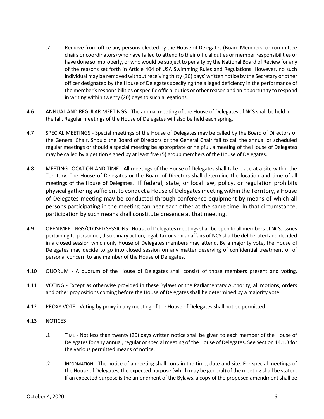- .7 Remove from office any persons elected by the House of Delegates (Board Members, or committee chairs or coordinators) who have failed to attend to their official duties or member responsibilities or have done so improperly, or who would be subject to penalty by the National Board of Review for any of the reasons set forth in Article 404 of USA Swimming Rules and Regulations. However, no such individual may be removed without receiving thirty (30) days' written notice by the Secretary or other officer designated by the House of Delegates specifying the alleged deficiency in the performance of the member's responsibilities or specific official duties or other reason and an opportunity to respond in writing within twenty (20) days to such allegations.
- 4.6 ANNUAL AND REGULAR MEETINGS The annual meeting of the House of Delegates of NCS shall be held in the fall. Regular meetings of the House of Delegates will also be held each spring.
- 4.7 SPECIAL MEETINGS Special meetings of the House of Delegates may be called by the Board of Directors or the General Chair. Should the Board of Directors or the General Chair fail to call the annual or scheduled regular meetings or should a special meeting be appropriate or helpful, a meeting of the House of Delegates may be called by a petition signed by at least five (5) group members of the House of Delegates.
- 4.8 MEETING LOCATION AND TIME All meetings of the House of Delegates shall take place at a site within the Territory. The House of Delegates or the Board of Directors shall determine the location and time of all meetings of the House of Delegates. If federal, state, or local law, policy, or regulation prohibits physical gathering sufficient to conduct a House of Delegates meeting within the Territory, a House of Delegates meeting may be conducted through conference equipment by means of which all persons participating in the meeting can hear each other at the same time. In that circumstance, participation by such means shall constitute presence at that meeting.
- 4.9 OPEN MEETINGS/CLOSED SESSIONS -House of Delegates meetings shall be open to all members of NCS. Issues pertaining to personnel, disciplinary action, legal, tax or similar affairs of NCS shall be deliberated and decided in a closed session which only House of Delegates members may attend. By a majority vote, the House of Delegates may decide to go into closed session on any matter deserving of confidential treatment or of personal concern to any member of the House of Delegates.
- 4.10 QUORUM A quorum of the House of Delegates shall consist of those members present and voting.
- 4.11 VOTING Except as otherwise provided in these Bylaws or the Parliamentary Authority, all motions, orders and other propositions coming before the House of Delegates shall be determined by a majority vote.
- 4.12 PROXY VOTE Voting by proxy in any meeting of the House of Delegates shall not be permitted.
- 4.13 NOTICES
	- .1 TIME Not less than twenty (20) days written notice shall be given to each member of the House of Delegates for any annual, regular or special meeting of the House of Delegates. See Section 14.1.3 for the various permitted means of notice.
	- .2 INFORMATION The notice of a meeting shall contain the time, date and site. For special meetings of the House of Delegates, the expected purpose (which may be general) of the meeting shall be stated. If an expected purpose is the amendment of the Bylaws, a copy of the proposed amendment shall be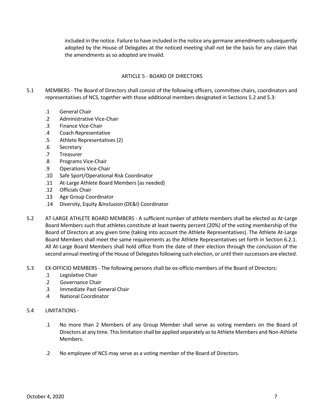included in the notice. Failure to have included in the notice any germane amendments subsequently adopted by the House of Delegates at the noticed meeting shall not be the basis for any claim that the amendments as so adopted are invalid.

#### <span id="page-6-0"></span>ARTICLE 5 - BOARD OF DIRECTORS

- 5.1 MEMBERS The Board of Directors shall consist of the following officers, committee chairs, coordinators and representatives of NCS, together with those additional members designated in Sections 5.2 and 5.3:
	- .1 General Chair
	- .2 Administrative Vice-Chair
	- .3 Finance Vice-Chair
	- .4 Coach Representative
	- .5 Athlete Representatives (2)
	- .6 Secretary
	- .7 Treasurer
	- .8 Programs Vice-Chair
	- .9 Operations Vice-Chair
	- .10 Safe Sport/Operational Risk Coordinator
	- .11 At-Large Athlete Board Members [as needed]
	- .12 Officials Chair
	- .13 Age Group Coordinator
	- .14 Diversity, Equity &Inclusion (DE&I) Coordinator
- 5.2 AT-LARGE ATHLETE BOARD MEMBERS A sufficient number of athlete members shall be elected as At-Large Board Members such that athletes constitute at least twenty percent (20%) of the voting membership of the Board of Directors at any given time (taking into account the Athlete Representatives). The Athlete At-Large Board Members shall meet the same requirements as the Athlete Representatives set forth in Section 6.2.1. All At-Large Board Members shall hold office from the date of their election through the conclusion of the second annual meeting of the House of Delegates following such election, or until their successors are elected.
- 5.3 EX-OFFICIO MEMBERS The following persons shall be ex-officio members of the Board of Directors:
	- .1 Legislative Chair
	- .2 Governance Chair
	- .3 Immediate Past General Chair
	- .4 National Coordinator

#### 5.4 LIMITATIONS -

- .1 No more than 2 Members of any Group Member shall serve as voting members on the Board of Directors at any time. This limitation shall be applied separately as to Athlete Members and Non-Athlete Members.
- .2 No employee of NCS may serve as a voting member of the Board of Directors.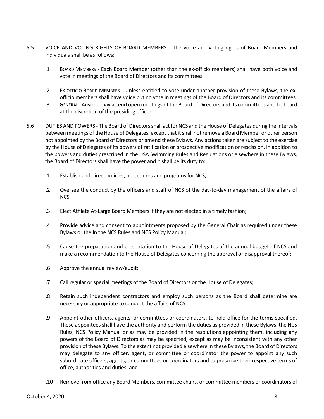- 5.5 VOICE AND VOTING RIGHTS OF BOARD MEMBERS The voice and voting rights of Board Members and individuals shall be as follows:
	- .1 BOARD MEMBERS Each Board Member (other than the ex-officio members) shall have both voice and vote in meetings of the Board of Directors and its committees.
	- .2 EX-OFFICIO BOARD MEMBERS Unless entitled to vote under another provision of these Bylaws, the exofficio members shall have voice but no vote in meetings of the Board of Directors and its committees.
	- .3 GENERAL Anyone may attend open meetings of the Board of Directors and its committees and be heard at the discretion of the presiding officer.
- 5.6 DUTIES AND POWERS The Board of Directors shall act for NCS and the House of Delegates during the intervals between meetings of the House of Delegates, except that it shall not remove a Board Member or other person not appointed by the Board of Directors or amend these Bylaws. Any actions taken are subject to the exercise by the House of Delegates of its powers of ratification or prospective modification or rescission. In addition to the powers and duties prescribed in the USA Swimming Rules and Regulations or elsewhere in these Bylaws, the Board of Directors shall have the power and it shall be its duty to:
	- .1 Establish and direct policies, procedures and programs for NCS;
	- .2 Oversee the conduct by the officers and staff of NCS of the day-to-day management of the affairs of NCS;
	- .3 Elect Athlete At-Large Board Members if they are not elected in a timely fashion;
	- .4 Provide advice and consent to appointments proposed by the General Chair as required under these Bylaws or the In the NCS Rules and NCS Policy Manual;
	- .5 Cause the preparation and presentation to the House of Delegates of the annual budget of NCS and make a recommendation to the House of Delegates concerning the approval or disapproval thereof;
	- .6 Approve the annual review/audit;
	- .7 Call regular or special meetings of the Board of Directors or the House of Delegates;
	- .8 Retain such independent contractors and employ such persons as the Board shall determine are necessary or appropriate to conduct the affairs of NCS;
	- .9 Appoint other officers, agents, or committees or coordinators, to hold office for the terms specified. These appointees shall have the authority and perform the duties as provided in these Bylaws, the NCS Rules, NCS Policy Manual or as may be provided in the resolutions appointing them, including any powers of the Board of Directors as may be specified, except as may be inconsistent with any other provision of these Bylaws. To the extent not provided elsewhere in these Bylaws, the Board of Directors may delegate to any officer, agent, or committee or coordinator the power to appoint any such subordinate officers, agents, or committees or coordinators and to prescribe their respective terms of office, authorities and duties; and
	- .10 Remove from office any Board Members, committee chairs, or committee members or coordinators of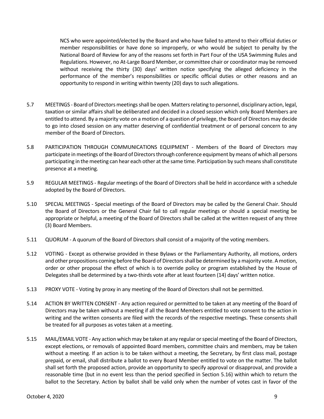NCS who were appointed/elected by the Board and who have failed to attend to their official duties or member responsibilities or have done so improperly, or who would be subject to penalty by the National Board of Review for any of the reasons set forth in Part Four of the USA Swimming Rules and Regulations. However, no At-Large Board Member, or committee chair or coordinator may be removed without receiving the thirty (30) days' written notice specifying the alleged deficiency in the performance of the member's responsibilities or specific official duties or other reasons and an opportunity to respond in writing within twenty (20) days to such allegations.

- 5.7 MEETINGS Board of Directors meetings shall be open. Matters relating to personnel, disciplinary action, legal, taxation or similar affairs shall be deliberated and decided in a closed session which only Board Members are entitled to attend. By a majority vote on a motion of a question of privilege, the Board of Directors may decide to go into closed session on any matter deserving of confidential treatment or of personal concern to any member of the Board of Directors.
- 5.8 PARTICIPATION THROUGH COMMUNICATIONS EQUIPMENT Members of the Board of Directors may participate in meetings of the Board of Directors through conference equipment by means of which all persons participating in the meeting can hear each other at the same time. Participation by such means shall constitute presence at a meeting.
- 5.9 REGULAR MEETINGS Regular meetings of the Board of Directors shall be held in accordance with a schedule adopted by the Board of Directors.
- 5.10 SPECIAL MEETINGS Special meetings of the Board of Directors may be called by the General Chair. Should the Board of Directors or the General Chair fail to call regular meetings or should a special meeting be appropriate or helpful, a meeting of the Board of Directors shall be called at the written request of any three (3) Board Members.
- 5.11 QUORUM A quorum of the Board of Directors shall consist of a majority of the voting members.
- 5.12 VOTING Except as otherwise provided in these Bylaws or the Parliamentary Authority, all motions, orders and other propositions coming before the Board of Directors shall be determined by a majority vote. A motion, order or other proposal the effect of which is to override policy or program established by the House of Delegates shall be determined by a two-thirds vote after at least fourteen (14) days' written notice.
- 5.13 PROXY VOTE Voting by proxy in any meeting of the Board of Directors shall not be permitted.
- 5.14 ACTION BY WRITTEN CONSENT Any action required or permitted to be taken at any meeting of the Board of Directors may be taken without a meeting if all the Board Members entitled to vote consent to the action in writing and the written consents are filed with the records of the respective meetings. These consents shall be treated for all purposes as votes taken at a meeting.
- 5.15 MAIL/EMAIL VOTE Any action which may be taken at any regular or special meeting of the Board of Directors, except elections, or removals of appointed Board members, committee chairs and members, may be taken without a meeting. If an action is to be taken without a meeting, the Secretary, by first class mail, postage prepaid, or email, shall distribute a ballot to every Board Member entitled to vote on the matter. The ballot shall set forth the proposed action, provide an opportunity to specify approval or disapproval, and provide a reasonable time (but in no event less than the period specified in Section 5.16) within which to return the ballot to the Secretary. Action by ballot shall be valid only when the number of votes cast in favor of the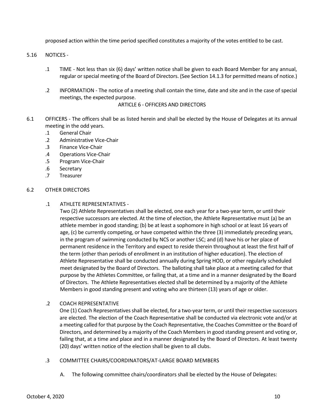proposed action within the time period specified constitutes a majority of the votes entitled to be cast.

#### 5.16 NOTICES -

- .1 TIME Not less than six (6) days' written notice shall be given to each Board Member for any annual, regular or special meeting of the Board of Directors. (See Section 14.1.3 for permitted means of notice.)
- .2 INFORMATION The notice of a meeting shall contain the time, date and site and in the case of special meetings, the expected purpose.

#### <span id="page-9-0"></span>ARTICLE 6 - OFFICERS AND DIRECTORS

- 6.1 OFFICERS The officers shall be as listed herein and shall be elected by the House of Delegates at its annual meeting in the odd years.
	- .1 General Chair
	- .2 Administrative Vice-Chair
	- .3 Finance Vice-Chair
	- .4 Operations Vice-Chair
	- .5 Program Vice-Chair
	- .6 Secretary
	- .7 Treasurer

#### 6.2 OTHER DIRECTORS

#### .1 ATHLETE REPRESENTATIVES -

Two (2) Athlete Representatives shall be elected, one each year for a two-year term, or until their respective successors are elected. At the time of election, the Athlete Representative must (a) be an athlete member in good standing; (b) be at least a sophomore in high school or at least 16 years of age, (c) be currently competing, or have competed within the three (3) immediately preceding years, in the program of swimming conducted by NCS or another LSC; and (d) have his or her place of permanent residence in the Territory and expect to reside therein throughout at least the first half of the term (other than periods of enrollment in an institution of higher education). The election of Athlete Representative shall be conducted annually during Spring HOD, or other regularly scheduled meet designated by the Board of Directors. The balloting shall take place at a meeting called for that purpose by the Athletes Committee, or failing that, at a time and in a manner designated by the Board of Directors. The Athlete Representatives elected shall be determined by a majority of the Athlete Members in good standing present and voting who are thirteen (13) years of age or older.

#### .2 COACH REPRESENTATIVE

One (1) Coach Representatives shall be elected, for a two-year term, or until their respective successors are elected. The election of the Coach Representative shall be conducted via electronic vote and/or at a meeting called for that purpose by the Coach Representative, the Coaches Committee or the Board of Directors, and determined by a majority of the Coach Members in good standing present and voting or, failing that, at a time and place and in a manner designated by the Board of Directors. At least twenty (20) days' written notice of the election shall be given to all clubs.

#### .3 COMMITTEE CHAIRS/COORDINATORS/AT-LARGE BOARD MEMBERS

A. The following committee chairs/coordinators shall be elected by the House of Delegates: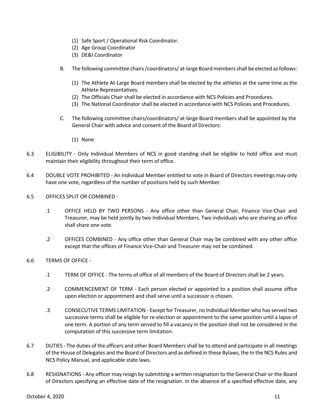- (1) Safe Sport / Operational Risk Coordinator.
- (2) Age Group Coordinator
- (3) DE&I Coordinator
- B. The following committee chairs /coordinators/ at-large Board members shall be elected as follows:
	- (1) The Athlete At-Large Board members shall be elected by the athletes at the same time as the Athlete Representatives.
	- (2) The Officials Chair shall be elected in accordance with NCS Policies and Procedures.
	- (3) The National Coordinator shall be elected in accordance with NCS Policies and Procedures.
- C. The following committee chairs/coordinators/ at-large Board members shall be appointed by the General Chair with advice and consent of the Board of Directors:
	- (1) None
- 6.3 ELIGIBILITY Only Individual Members of NCS in good standing shall be eligible to hold office and must maintain their eligibility throughout their term of office.
- 6.4 DOUBLE VOTE PROHIBITED An Individual Member entitled to vote in Board of Directors meetings may only have one vote, regardless of the number of positions held by such Member.
- 6.5 OFFICES SPLIT OR COMBINED
	- .1 OFFICE HELD BY TWO PERSONS Any office other than General Chair, Finance Vice-Chair and Treasurer, may be held jointly by two Individual Members. Two individuals who are sharing an office shall share one vote.
	- .2 OFFICES COMBINED Any office other than General Chair may be combined with any other office except that the offices of Finance Vice-Chair and Treasurer may not be combined.
- 6.6 TERMS OF OFFICE
	- .1 TERM OF OFFICE The terms of office of all members of the Board of Directors shall be 2 years.
	- .2 COMMENCEMENT OF TERM Each person elected or appointed to a position shall assume office upon election or appointment and shall serve until a successor is chosen.
	- .3 CONSECUTIVE TERMS LIMITATION Except for Treasurer, no Individual Member who has served two successive terms shall be eligible for re-election or appointment to the same position until a lapse of one term. A portion of any term served to fill a vacancy in the position shall not be considered in the computation of this successive term limitation.
- 6.7 DUTIES The duties of the officers and other Board Members shall be to attend and participate in all meetings of the House of Delegates and the Board of Directors and as defined in these Bylaws, the In the NCS Rules and NCS Policy Manual, and applicable state laws.
- 6.8 RESIGNATIONS Any officer may resign by submitting a written resignation to the General Chair or the Board of Directors specifying an effective date of the resignation. In the absence of a specified effective date, any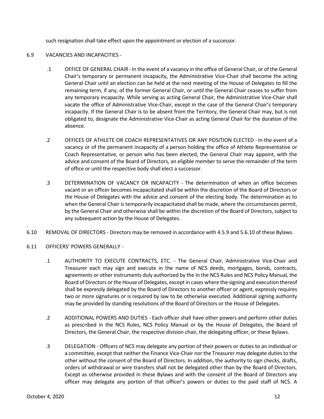such resignation shall take effect upon the appointment or election of a successor.

#### 6.9 VACANCIES AND INCAPACITIES -

- .1 OFFICE OF GENERAL CHAIR In the event of a vacancy in the office of General Chair, or of the General Chair's temporary or permanent incapacity, the Administrative Vice-Chair shall become the acting General Chair until an election can be held at the next meeting of the House of Delegates to fill the remaining term, if any, of the former General Chair, or until the General Chair ceases to suffer from any temporary incapacity. While serving as acting General Chair, the Administrative Vice-Chair shall vacate the office of Administrative Vice-Chair, except in the case of the General Chair's temporary incapacity. If the General Chair is to be absent from the Territory, the General Chair may, but is not obligated to, designate the Administrative Vice-Chair as acting General Chair for the duration of the absence.
- .2 OFFICES OF ATHLETE OR COACH REPRESENTATIVES OR ANY POSITION ELECTED In the event of a vacancy or of the permanent incapacity of a person holding the office of Athlete Representative or Coach Representative, or person who has been elected, the General Chair may appoint, with the advice and consent of the Board of Directors, an eligible member to serve the remainder of the term of office or until the respective body shall elect a successor.
- .3 DETERMINATION OF VACANCY OR INCAPACITY The determination of when an office becomes vacant or an officer becomes incapacitated shall be within the discretion of the Board of Directors or the House of Delegates with the advice and consent of the electing body. The determination as to when the General Chair is temporarily incapacitated shall be made, where the circumstances permit, by the General Chair and otherwise shall be within the discretion of the Board of Directors, subject to any subsequent action by the House of Delegates.
- 6.10 REMOVAL OF DIRECTORS Directors may be removed in accordance with 4.5.9 and 5.6.10 of these Bylaws.
- 6.11 OFFICERS' POWERS GENERALLY -

.

- .1 AUTHORITY TO EXECUTE CONTRACTS, ETC. The General Chair, Administrative Vice-Chair and Treasurer each may sign and execute in the name of NCS deeds, mortgages, bonds, contracts, agreements or other instruments duly authorized by the In the NCS Rules and NCS Policy Manual, the Board of Directors or the House of Delegates, except in cases where the signing and execution thereof shall be expressly delegated by the Board of Directors to another officer or agent, expressly requires two or more signatures or is required by law to be otherwise executed. Additional signing authority may be provided by standing resolutions of the Board of Directors or the House of Delegates.
- .2 ADDITIONAL POWERS AND DUTIES Each officer shall have other powers and perform other duties as prescribed in the NCS Rules, NCS Policy Manual or by the House of Delegates, the Board of Directors, the General Chair, the respective division chair, the delegating officer, or these Bylaws.
- .3 DELEGATION Officers of NCS may delegate any portion of their powers or duties to an individual or a committee, except that neither the Finance Vice-Chair nor the Treasurer may delegate duties to the other without the consent of the Board of Directors. In addition, the authority to sign checks, drafts, orders of withdrawal or wire transfers shall not be delegated other than by the Board of Directors. Except as otherwise provided in these Bylaws and with the consent of the Board of Directors any officer may delegate any portion of that officer's powers or duties to the paid staff of NCS. A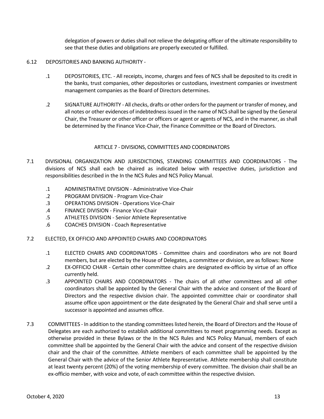delegation of powers or duties shall not relieve the delegating officer of the ultimate responsibility to see that these duties and obligations are properly executed or fulfilled.

#### 6.12 DEPOSITORIES AND BANKING AUTHORITY -

- .1 DEPOSITORIES, ETC. All receipts, income, charges and fees of NCS shall be deposited to its credit in the banks, trust companies, other depositories or custodians, investment companies or investment management companies as the Board of Directors determines.
- .2 SIGNATURE AUTHORITY All checks, drafts or other orders for the payment or transfer of money, and all notes or other evidences of indebtedness issued in the name of NCS shall be signed by the General Chair, the Treasurer or other officer or officers or agent or agents of NCS, and in the manner, as shall be determined by the Finance Vice-Chair, the Finance Committee or the Board of Directors.

#### ARTICLE 7 - DIVISIONS, COMMITTEES AND COORDINATORS

- <span id="page-12-0"></span>7.1 DIVISIONAL ORGANIZATION AND JURISDICTIONS, STANDING COMMITTEES AND COORDINATORS - The divisions of NCS shall each be chaired as indicated below with respective duties, jurisdiction and responsibilities described in the In the NCS Rules and NCS Policy Manual.
	- .1 ADMINISTRATIVE DIVISION Administrative Vice-Chair
	- .2 PROGRAM DIVISION Program Vice-Chair
	- .3 OPERATIONS DIVISION Operations Vice-Chair
	- .4 FINANCE DIVISION Finance Vice-Chair
	- .5 ATHLETES DIVISION Senior Athlete Representative
	- .6 COACHES DIVISION Coach Representative
- 7.2 ELECTED, EX OFFICIO AND APPOINTED CHAIRS AND COORDINATORS
	- .1 ELECTED CHAIRS AND COORDINATORS Committee chairs and coordinators who are not Board members, but are elected by the House of Delegates, a committee or division, are as follows: None
	- .2 EX-OFFICIO CHAIR Certain other committee chairs are designated ex-officio by virtue of an office currently held.
	- .3 APPOINTED CHAIRS AND COORDINATORS The chairs of all other committees and all other coordinators shall be appointed by the General Chair with the advice and consent of the Board of Directors and the respective division chair. The appointed committee chair or coordinator shall assume office upon appointment or the date designated by the General Chair and shall serve until a successor is appointed and assumes office.
- 7.3 COMMITTEES In addition to the standing committees listed herein, the Board of Directors and the House of Delegates are each authorized to establish additional committees to meet programming needs. Except as otherwise provided in these Bylaws or the In the NCS Rules and NCS Policy Manual, members of each committee shall be appointed by the General Chair with the advice and consent of the respective division chair and the chair of the committee. Athlete members of each committee shall be appointed by the General Chair with the advice of the Senior Athlete Representative. Athlete membership shall constitute at least twenty percent (20%) of the voting membership of every committee. The division chair shall be an ex-officio member, with voice and vote, of each committee within the respective division.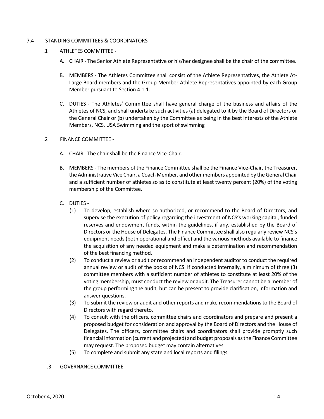#### 7.4 STANDING COMMITTEES & COORDINATORS

- .1 ATHLETES COMMITTEE
	- A. CHAIR The Senior Athlete Representative or his/her designee shall be the chair of the committee.
	- B. MEMBERS The Athletes Committee shall consist of the Athlete Representatives, the Athlete At-Large Board members and the Group Member Athlete Representatives appointed by each Group Member pursuant to Section 4.1.1.
	- C. DUTIES The Athletes' Committee shall have general charge of the business and affairs of the Athletes of NCS, and shall undertake such activities (a) delegated to it by the Board of Directors or the General Chair or (b) undertaken by the Committee as being in the best interests of the Athlete Members, NCS, USA Swimming and the sport of swimming

#### .2 FINANCE COMMITTEE -

- A. CHAIR The chair shall be the Finance Vice-Chair.
- B. MEMBERS The members of the Finance Committee shall be the Finance Vice-Chair, the Treasurer, the Administrative Vice Chair, a Coach Member, and other members appointed by the General Chair and a sufficient number of athletes so as to constitute at least twenty percent (20%) of the voting membership of the Committee.
- C. DUTIES
	- (1) To develop, establish where so authorized, or recommend to the Board of Directors, and supervise the execution of policy regarding the investment of NCS's working capital, funded reserves and endowment funds, within the guidelines, if any, established by the Board of Directors or the House of Delegates. The Finance Committee shall also regularly review NCS's equipment needs (both operational and office) and the various methods available to finance the acquisition of any needed equipment and make a determination and recommendation of the best financing method.
	- (2) To conduct a review or audit or recommend an independent auditor to conduct the required annual review or audit of the books of NCS. If conducted internally, a minimum of three (3) committee members with a sufficient number of athletes to constitute at least 20% of the voting membership, must conduct the review or audit. The Treasurer cannot be a member of the group performing the audit, but can be present to provide clarification, information and answer questions.
	- (3) To submit the review or audit and other reports and make recommendations to the Board of Directors with regard thereto.
	- (4) To consult with the officers, committee chairs and coordinators and prepare and present a proposed budget for consideration and approval by the Board of Directors and the House of Delegates. The officers, committee chairs and coordinators shall provide promptly such financial information (current and projected) and budget proposals as the Finance Committee may request. The proposed budget may contain alternatives.
	- (5) To complete and submit any state and local reports and filings.
- .3 GOVERNANCE COMMITTEE -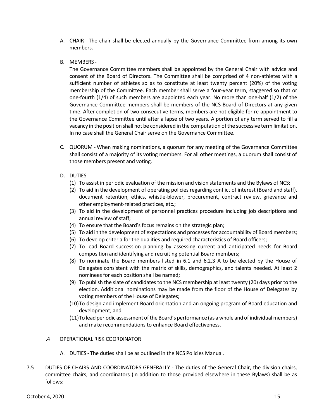- A. CHAIR The chair shall be elected annually by the Governance Committee from among its own members.
- B. MEMBERS -

The Governance Committee members shall be appointed by the General Chair with advice and consent of the Board of Directors. The Committee shall be comprised of 4 non-athletes with a sufficient number of athletes so as to constitute at least twenty percent (20%) of the voting membership of the Committee. Each member shall serve a four-year term, staggered so that or one-fourth (1/4) of such members are appointed each year. No more than one-half (1/2) of the Governance Committee members shall be members of the NCS Board of Directors at any given time. After completion of two consecutive terms, members are not eligible for re-appointment to the Governance Committee until after a lapse of two years. A portion of any term served to fill a vacancy in the position shall not be considered in the computation of the successive term limitation. In no case shall the General Chair serve on the Governance Committee.

- C. QUORUM When making nominations, a quorum for any meeting of the Governance Committee shall consist of a majority of its voting members. For all other meetings, a quorum shall consist of those members present and voting.
- D. DUTIES
	- (1) To assist in periodic evaluation of the mission and vision statements and the Bylaws of NCS;
	- (2) To aid in the development of operating policies regarding conflict of interest (Board and staff), document retention, ethics, whistle-blower, procurement, contract review, grievance and other employment-related practices, etc.;
	- (3) To aid in the development of personnel practices procedure including job descriptions and annual review of staff;
	- (4) To ensure that the Board's focus remains on the strategic plan;
	- (5) To aid in the development of expectations and processes for accountability of Board members;
	- (6) To develop criteria for the qualities and required characteristics of Board officers;
	- (7) To lead Board succession planning by assessing current and anticipated needs for Board composition and identifying and recruiting potential Board members;
	- (8) To nominate the Board members listed in 6.1 and 6.2.3 A to be elected by the House of Delegates consistent with the matrix of skills, demographics, and talents needed. At least 2 nominees for each position shall be named;
	- (9) To publish the slate of candidates to the NCS membership at least twenty (20) days prior to the election. Additional nominations may be made from the floor of the House of Delegates by voting members of the House of Delegates;
	- (10)To design and implement Board orientation and an ongoing program of Board education and development; and
	- (11)To lead periodic assessment of the Board's performance (as a whole and of individual members) and make recommendations to enhance Board effectiveness.

#### .4 OPERATIONAL RISK COORDINATOR

- A. DUTIES The duties shall be as outlined in the NCS Policies Manual.
- 7.5 DUTIES OF CHAIRS AND COORDINATORS GENERALLY The duties of the General Chair, the division chairs, committee chairs, and coordinators (in addition to those provided elsewhere in these Bylaws) shall be as follows: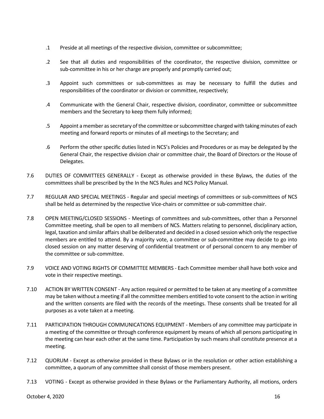- .1 Preside at all meetings of the respective division, committee or subcommittee;
- .2 See that all duties and responsibilities of the coordinator, the respective division, committee or sub-committee in his or her charge are properly and promptly carried out;
- .3 Appoint such committees or sub-committees as may be necessary to fulfill the duties and responsibilities of the coordinator or division or committee, respectively;
- .4 Communicate with the General Chair, respective division, coordinator, committee or subcommittee members and the Secretary to keep them fully informed;
- .5 Appoint a member as secretary of the committee or subcommittee charged with taking minutes of each meeting and forward reports or minutes of all meetings to the Secretary; and
- .6 Perform the other specific duties listed in NCS's Policies and Procedures or as may be delegated by the General Chair, the respective division chair or committee chair, the Board of Directors or the House of Delegates.
- 7.6 DUTIES OF COMMITTEES GENERALLY Except as otherwise provided in these Bylaws, the duties of the committees shall be prescribed by the In the NCS Rules and NCS Policy Manual.
- 7.7 REGULAR AND SPECIAL MEETINGS Regular and special meetings of committees or sub-committees of NCS shall be held as determined by the respective Vice-chairs or committee or sub-committee chair.
- 7.8 OPEN MEETING/CLOSED SESSIONS Meetings of committees and sub-committees, other than a Personnel Committee meeting, shall be open to all members of NCS. Matters relating to personnel, disciplinary action, legal, taxation and similar affairs shall be deliberated and decided in a closed session which only the respective members are entitled to attend. By a majority vote, a committee or sub-committee may decide to go into closed session on any matter deserving of confidential treatment or of personal concern to any member of the committee or sub-committee.
- 7.9 VOICE AND VOTING RIGHTS OF COMMITTEE MEMBERS Each Committee member shall have both voice and vote in their respective meetings.
- 7.10 ACTION BY WRITTEN CONSENT Any action required or permitted to be taken at any meeting of a committee may be taken without a meeting if all the committee members entitled to vote consent to the action in writing and the written consents are filed with the records of the meetings. These consents shall be treated for all purposes as a vote taken at a meeting.
- 7.11 PARTICIPATION THROUGH COMMUNICATIONS EQUIPMENT Members of any committee may participate in a meeting of the committee or through conference equipment by means of which all persons participating in the meeting can hear each other at the same time. Participation by such means shall constitute presence at a meeting.
- 7.12 QUORUM Except as otherwise provided in these Bylaws or in the resolution or other action establishing a committee, a quorum of any committee shall consist of those members present.
- 7.13 VOTING Except as otherwise provided in these Bylaws or the Parliamentary Authority, all motions, orders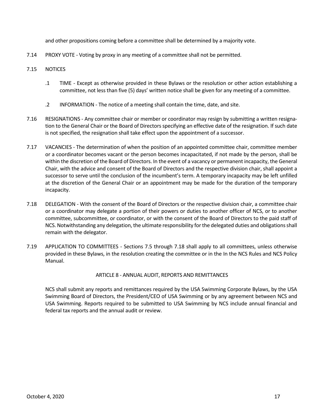and other propositions coming before a committee shall be determined by a majority vote.

- 7.14 PROXY VOTE Voting by proxy in any meeting of a committee shall not be permitted.
- 7.15 NOTICES
	- .1 TIME Except as otherwise provided in these Bylaws or the resolution or other action establishing a committee, not less than five (5) days' written notice shall be given for any meeting of a committee.
	- .2 INFORMATION The notice of a meeting shall contain the time, date, and site.
- 7.16 RESIGNATIONS Any committee chair or member or coordinator may resign by submitting a written resignation to the General Chair or the Board of Directors specifying an effective date of the resignation. If such date is not specified, the resignation shall take effect upon the appointment of a successor.
- 7.17 VACANCIES The determination of when the position of an appointed committee chair, committee member or a coordinator becomes vacant or the person becomes incapacitated, if not made by the person, shall be within the discretion of the Board of Directors. In the event of a vacancy or permanent incapacity, the General Chair, with the advice and consent of the Board of Directors and the respective division chair, shall appoint a successor to serve until the conclusion of the incumbent's term. A temporary incapacity may be left unfilled at the discretion of the General Chair or an appointment may be made for the duration of the temporary incapacity.
- 7.18 DELEGATION With the consent of the Board of Directors or the respective division chair, a committee chair or a coordinator may delegate a portion of their powers or duties to another officer of NCS, or to another committee, subcommittee, or coordinator, or with the consent of the Board of Directors to the paid staff of NCS. Notwithstanding any delegation, the ultimate responsibility for the delegated duties and obligations shall remain with the delegator.
- 7.19 APPLICATION TO COMMITTEES Sections 7.5 through 7.18 shall apply to all committees, unless otherwise provided in these Bylaws, in the resolution creating the committee or in the In the NCS Rules and NCS Policy Manual.

#### <span id="page-16-0"></span>ARTICLE 8 - ANNUAL AUDIT, REPORTS AND REMITTANCES

NCS shall submit any reports and remittances required by the USA Swimming Corporate Bylaws, by the USA Swimming Board of Directors, the President/CEO of USA Swimming or by any agreement between NCS and USA Swimming. Reports required to be submitted to USA Swimming by NCS include annual financial and federal tax reports and the annual audit or review.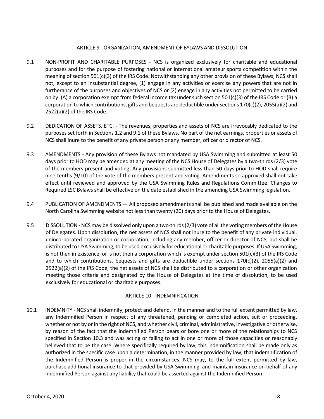#### <span id="page-17-0"></span>ARTICLE 9 - ORGANIZATION, AMENDMENT OF BYLAWS AND DISSOLUTION

- 9.1 NON-PROFIT AND CHARITABLE PURPOSES NCS is organized exclusively for charitable and educational purposes and for the purpose of fostering national or international amateur sports competition within the meaning of section 501(c)(3) of the IRS Code. Notwithstanding any other provision of these Bylaws, NCS shall not, except to an insubstantial degree, (1) engage in any activities or exercise any powers that are not in furtherance of the purposes and objectives of NCS or (2) engage in any activities not permitted to be carried on by: (A) a corporation exempt from federal income tax under such section 501(c)(3) of the IRS Code or (B) a corporation to which contributions, gifts and bequests are deductible under sections 170(c)(2), 2055(a)(2) and 2522(a)(2) of the IRS Code.
- 9.2 DEDICATION OF ASSETS, ETC. The revenues, properties and assets of NCS are irrevocably dedicated to the purposes set forth in Sections 1.2 and 9.1 of these Bylaws. No part of the net earnings, properties or assets of NCS shall inure to the benefit of any private person or any member, officer or director of NCS.
- 9.3 AMENDMENTS Any provision of these Bylaws not mandated by USA Swimming and submitted at least 50 days prior to HOD may be amended at any meeting of the NCS House of Delegates by a two-thirds (2/3) vote of the members present and voting. Any provisions submitted less than 50 days prior to HOD shall require nine-tenths (9/10) of the vote of the members present and voting. Amendments so approved shall not take effect until reviewed and approved by the USA Swimming Rules and Regulations Committee. Changes to Required LSC Bylaws shall be effective on the date established in the amending USA Swimming legislation.
- 9.4 PUBLICATION OF AMENDMENTS All proposed amendments shall be published and made available on the North Carolina Swimming website not less than twenty (20) days prior to the House of Delegates.
- 9.5 DISSOLUTION-NCS may be dissolved only upon a two-thirds (2/3) vote of all the voting members of the House of Delegates. Upon dissolution, the net assets of NCS shall not inure to the benefit of any private individual, unincorporated organization or corporation, including any member, officer or director of NCS, but shall be distributed to USA Swimming, to be used exclusively for educational or charitable purposes. If USA Swimming, is not then in existence, or is not then a corporation which is exempt under section 501(c)(3) of the IRS Code and to which contributions, bequests and gifts are deductible under sections 170(c)(2), 2055(a)(2) and 2522(a)(2) of the IRS Code, the net assets of NCS shall be distributed to a corporation or other organization meeting those criteria and designated by the House of Delegates at the time of dissolution, to be used exclusively for educational or charitable purposes.

#### <span id="page-17-1"></span>ARTICLE 10 - INDEMNIFICATION

10.1 INDEMNITY - NCS shall indemnify, protect and defend, in the manner and to the full extent permitted by law, any Indemnified Person in respect of any threatened, pending or completed action, suit or proceeding, whether or not by or in the right of NCS, and whether civil, criminal, administrative, investigative or otherwise, by reason of the fact that the Indemnified Person bears or bore one or more of the relationships to NCS specified in Section 10.3 and was acting or failing to act in one or more of those capacities or reasonably believed that to be the case. Where specifically required by law, this indemnification shall be made only as authorized in the specific case upon a determination, in the manner provided by law, that indemnification of the Indemnified Person is proper in the circumstances. NCS may, to the full extent permitted by law, purchase additional insurance to that provided by USA Swimming, and maintain insurance on behalf of any Indemnified Person against any liability that could be asserted against the Indemnified Person.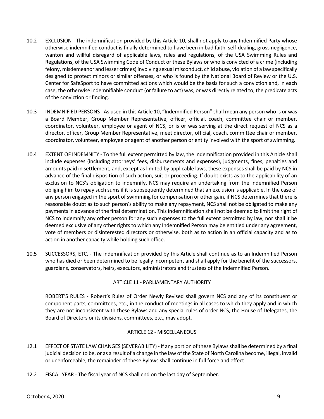- 10.2 EXCLUSION The indemnification provided by this Article 10, shall not apply to any Indemnified Party whose otherwise indemnified conduct is finally determined to have been in bad faith, self-dealing, gross negligence, wanton and willful disregard of applicable laws, rules and regulations, of the USA Swimming Rules and Regulations, of the USA Swimming Code of Conduct or these Bylaws or who is convicted of a crime (including felony, misdemeanor and lesser crimes) involving sexual misconduct, child abuse, violation of a law specifically designed to protect minors or similar offenses, or who is found by the National Board of Review or the U.S. Center for SafeSport to have committed actions which would be the basis for such a conviction and, in each case, the otherwise indemnifiable conduct (or failure to act) was, or was directly related to, the predicate acts of the conviction or finding.
- 10.3 INDEMNIFIED PERSONS As used in this Article 10, "Indemnified Person" shall mean any person who is or was a Board Member, Group Member Representative, officer, official, coach, committee chair or member, coordinator, volunteer, employee or agent of NCS, or is or was serving at the direct request of NCS as a director, officer, Group Member Representative, meet director, official, coach, committee chair or member, coordinator, volunteer, employee or agent of another person or entity involved with the sport of swimming.
- 10.4 EXTENT OF INDEMNITY To the full extent permitted by law, the indemnification provided in this Article shall include expenses (including attorneys' fees, disbursements and expenses), judgments, fines, penalties and amounts paid in settlement, and, except as limited by applicable laws, these expenses shall be paid by NCS in advance of the final disposition of such action, suit or proceeding. If doubt exists as to the applicability of an exclusion to NCS's obligation to indemnify, NCS may require an undertaking from the Indemnified Person obliging him to repay such sums if it is subsequently determined that an exclusion is applicable. In the case of any person engaged in the sport of swimming for compensation or other gain, if NCS determines that there is reasonable doubt as to such person's ability to make any repayment, NCS shall not be obligated to make any payments in advance of the final determination. This indemnification shall not be deemed to limit the right of NCS to indemnify any other person for any such expenses to the full extent permitted by law, nor shall it be deemed exclusive of any other rights to which any Indemnified Person may be entitled under any agreement, vote of members or disinterested directors or otherwise, both as to action in an official capacity and as to action in another capacity while holding such office.
- 10.5 SUCCESSORS, ETC. The indemnification provided by this Article shall continue as to an Indemnified Person who has died or been determined to be legally incompetent and shall apply for the benefit of the successors, guardians, conservators, heirs, executors, administrators and trustees of the Indemnified Person.

#### <span id="page-18-0"></span>ARTICLE 11 - PARLIAMENTARY AUTHORITY

ROBERT'S RULES - Robert's Rules of Order Newly Revised shall govern NCS and any of its constituent or component parts, committees, etc., in the conduct of meetings in all cases to which they apply and in which they are not inconsistent with these Bylaws and any special rules of order NCS, the House of Delegates, the Board of Directors or its divisions, committees, etc., may adopt.

#### <span id="page-18-1"></span>ARTICLE 12 - MISCELLANEOUS

- 12.1 EFFECT OF STATE LAW CHANGES (SEVERABILITY) If any portion of these Bylaws shall be determined by a final judicial decision to be, or as a result of a change in the law of the State of North Carolina become, illegal, invalid or unenforceable, the remainder of these Bylaws shall continue in full force and effect.
- 12.2 FISCAL YEAR The fiscal year of NCS shall end on the last day of September.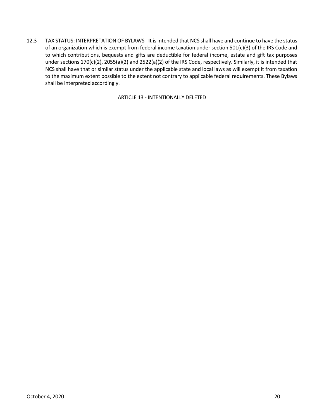<span id="page-19-1"></span>12.3 TAX STATUS; INTERPRETATION OF BYLAWS - It is intended that NCS shall have and continue to have the status of an organization which is exempt from federal income taxation under section 501(c)(3) of the IRS Code and to which contributions, bequests and gifts are deductible for federal income, estate and gift tax purposes under sections 170(c)(2), 2055(a)(2) and 2522(a)(2) of the IRS Code, respectively. Similarly, it is intended that NCS shall have that or similar status under the applicable state and local laws as will exempt it from taxation to the maximum extent possible to the extent not contrary to applicable federal requirements. These Bylaws shall be interpreted accordingly.

<span id="page-19-0"></span>ARTICLE 13 - INTENTIONALLY DELETED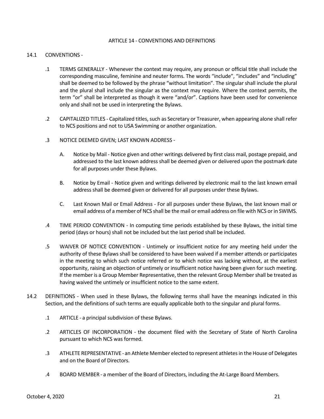#### ARTICLE 14 - CONVENTIONS AND DEFINITIONS

#### 14.1 CONVENTIONS -

- .1 TERMS GENERALLY Whenever the context may require, any pronoun or official title shall include the corresponding masculine, feminine and neuter forms. The words "include", "includes" and "including" shall be deemed to be followed by the phrase "without limitation". The singular shall include the plural and the plural shall include the singular as the context may require. Where the context permits, the term "or" shall be interpreted as though it were "and/or". Captions have been used for convenience only and shall not be used in interpreting the Bylaws.
- .2 CAPITALIZED TITLES Capitalized titles, such as Secretary or Treasurer, when appearing alone shall refer to NCS positions and not to USA Swimming or another organization.
- .3 NOTICE DEEMED GIVEN; LAST KNOWN ADDRESS
	- A. Notice by Mail Notice given and other writings delivered by first class mail, postage prepaid, and addressed to the last known address shall be deemed given or delivered upon the postmark date for all purposes under these Bylaws.
	- B. Notice by Email Notice given and writings delivered by electronic mail to the last known email address shall be deemed given or delivered for all purposes under these Bylaws.
	- C. Last Known Mail or Email Address For all purposes under these Bylaws, the last known mail or email address of a member of NCS shall be the mail or email address on file with NCS or in SWIMS.
- .4 TIME PERIOD CONVENTION In computing time periods established by these Bylaws, the initial time period (days or hours) shall not be included but the last period shall be included.
- .5 WAIVER OF NOTICE CONVENTION Untimely or insufficient notice for any meeting held under the authority of these Bylaws shall be considered to have been waived if a member attends or participates in the meeting to which such notice referred or to which notice was lacking without, at the earliest opportunity, raising an objection of untimely or insufficient notice having been given for such meeting. If the member is a Group Member Representative, then the relevant Group Member shall be treated as having waived the untimely or insufficient notice to the same extent.
- 14.2 DEFINITIONS When used in these Bylaws, the following terms shall have the meanings indicated in this Section, and the definitions of such terms are equally applicable both to the singular and plural forms.
	- .1 ARTICLE a principal subdivision of these Bylaws.
	- .2 ARTICLES OF INCORPORATION the document filed with the Secretary of State of North Carolina pursuant to which NCS was formed.
	- .3 ATHLETE REPRESENTATIVE an Athlete Member elected to represent athletes in the House of Delegates and on the Board of Directors.
	- .4 BOARD MEMBER a member of the Board of Directors, including the At-Large Board Members.